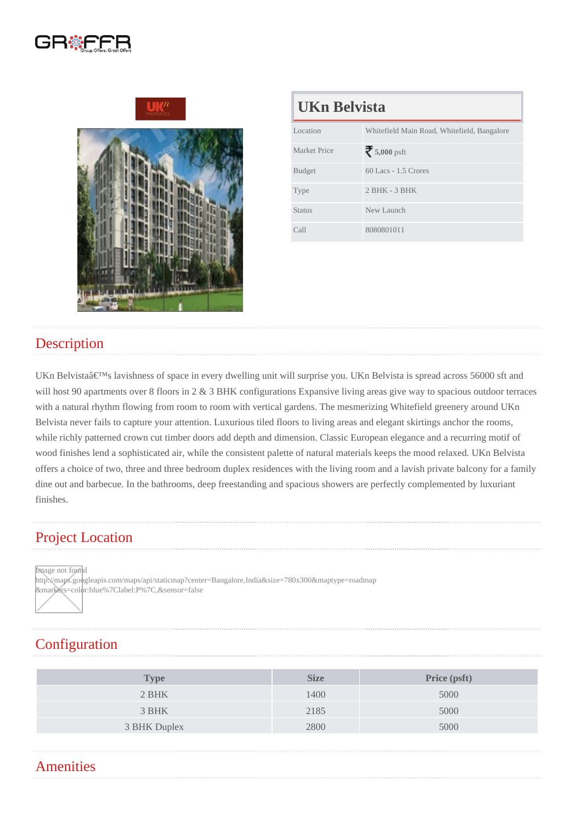| UKn Belvista        |                                             |  |
|---------------------|---------------------------------------------|--|
| Location            | Whitefield Main Road, Whitefield, Bangalore |  |
| <b>Market Price</b> | 5,000psft                                   |  |
| <b>Budget</b>       | 60 Lacs - 1.5 Crores                        |  |
| <b>Type</b>         | $2$ BHK - $3$ BHK                           |  |
| Status              | New Launch                                  |  |
| Call                | 8080801011                                  |  |

### **Description**

UKn Belvista's lavishness of space in every dwelling unit will surprise you. UKn Belvista is spread across 56000 sft and will host 90 apartments over 8 floors in 2 & 3 BHK configurations Expansive living areas give way to spacious outdoor terraces with a natural rhythm flowing from room to room with vertical gardens. The mesmerizing Whitefield greenery around UKn Belvista never fails to capture your attention. Luxurious tiled floors to living areas and elegant skirtings anchor the rooms, while richly patterned crown cut timber doors add depth and dimension. Classic European elegance and a recurring motif of wood finishes lend a sophisticated air, while the consistent palette of natural materials keeps the mood relaxed. UKn Belvista offers a choice of two, three and three bedroom duplex residences with the living room and a lavish private balcony for a family dine out and barbecue. In the bathrooms, deep freestanding and spacious showers are perfectly complemented by luxuriant finishes.

## Project Location

Image not found

http://maps.googleapis.com/maps/api/staticmap?center=Bangalore,India&size=780x300&maptype=roadmap &markers=color:blue%7Clabel:P%7C,&sensor=false

## **Configuration**

| Type         | <b>Size</b> | Price (psft) |
|--------------|-------------|--------------|
| 2 BHK        | 1400        | 5000         |
| 3 BHK        | 2185        | 5000         |
| 3 BHK Duplex | 2800        | 5000         |
|              |             |              |

#### **Amenities**